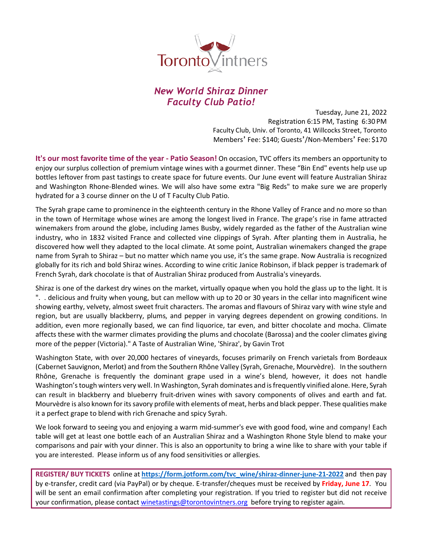

# *New World Shiraz Dinner Faculty Club Patio!*

Tuesday, June 21, 2022 Registration 6:15 PM, Tasting 6:30 PM Faculty Club, Univ. of Toronto, 41 Willcocks Street, Toronto Members' Fee: \$140; Guests'/Non-Members' Fee: \$170

**It's our most favorite time of the year - Patio Season!** On occasion, TVC offers its members an opportunity to enjoy our surplus collection of premium vintage wines with a gourmet dinner. These "Bin End" events help use up bottles leftover from past tastings to create space for future events. Our June event will feature Australian Shiraz and Washington Rhone-Blended wines. We will also have some extra "Big Reds" to make sure we are properly hydrated for a 3 course dinner on the U of T Faculty Club Patio.

The Syrah grape came to prominence in the eighteenth century in the Rhone Valley of France and no more so than in the town of Hermitage whose wines are among the longest lived in France. The grape's rise in fame attracted winemakers from around the globe, including James Busby, widely regarded as the father of the Australian wine industry, who in 1832 visited France and collected vine clippings of Syrah. After planting them in Australia, he discovered how well they adapted to the local climate. At some point, Australian winemakers changed the grape name from Syrah to Shiraz – but no matter which name you use, it's the same grape. Now Australia is recognized globally for its rich and bold Shiraz wines. According to wine critic Janice Robinson, if black pepper is trademark of French Syrah, dark chocolate is that of Australian Shiraz produced from Australia's vineyards.

Shiraz is one of the darkest dry wines on the market, virtually opaque when you hold the glass up to the light. It is ". . delicious and fruity when young, but can mellow with up to 20 or 30 years in the cellar into magnificent wine showing earthy, velvety, almost sweet fruit characters. The aromas and flavours of Shiraz vary with wine style and region, but are usually blackberry, plums, and pepper in varying degrees dependent on growing conditions. In addition, even more regionally based, we can find liquorice, tar even, and bitter chocolate and mocha. Climate affects these with the warmer climates providing the plums and chocolate (Barossa) and the cooler climates giving more of the pepper (Victoria)." A Taste of Australian Wine, 'Shiraz', by Gavin Trot

Washington State, with over 20,000 hectares of vineyards, focuses primarily on French varietals from Bordeaux (Cabernet Sauvignon, Merlot) and from the Southern Rhône Valley (Syrah, Grenache, Mourvèdre). In the southern Rhône, Grenache is frequently the dominant grape used in a wine's blend, however, it does not handle Washington's tough winters very well. In Washington, Syrah dominates and isfrequently vinified alone. Here, Syrah can result in blackberry and blueberry fruit-driven wines with savory components of olives and earth and fat. Mourvèdre is also known for its savory profile with elements of meat, herbs and black pepper. These qualities make it a perfect grape to blend with rich Grenache and spicy Syrah.

We look forward to seeing you and enjoying a warm mid-summer's eve with good food, wine and company! Each table will get at least one bottle each of an Australian Shiraz and a Washington Rhone Style blend to make your comparisons and pair with your dinner. This is also an opportunity to bring a wine like to share with your table if you are interested. Please inform us of any food sensitivities or allergies.

**REGISTER/ BUY TICKETS** online at **https://form.jotform.com/tvc\_wine/shiraz-dinner-june-21-2022** and then pay by e-transfer, credit card (via PayPal) or by cheque. E-transfer/cheques must be received by **Friday, June 17**. You will be sent an email confirmation after completing your registration. If you tried to register but did not receive your confirmation, please contact winetastings@torontovintners.org before trying to register again.